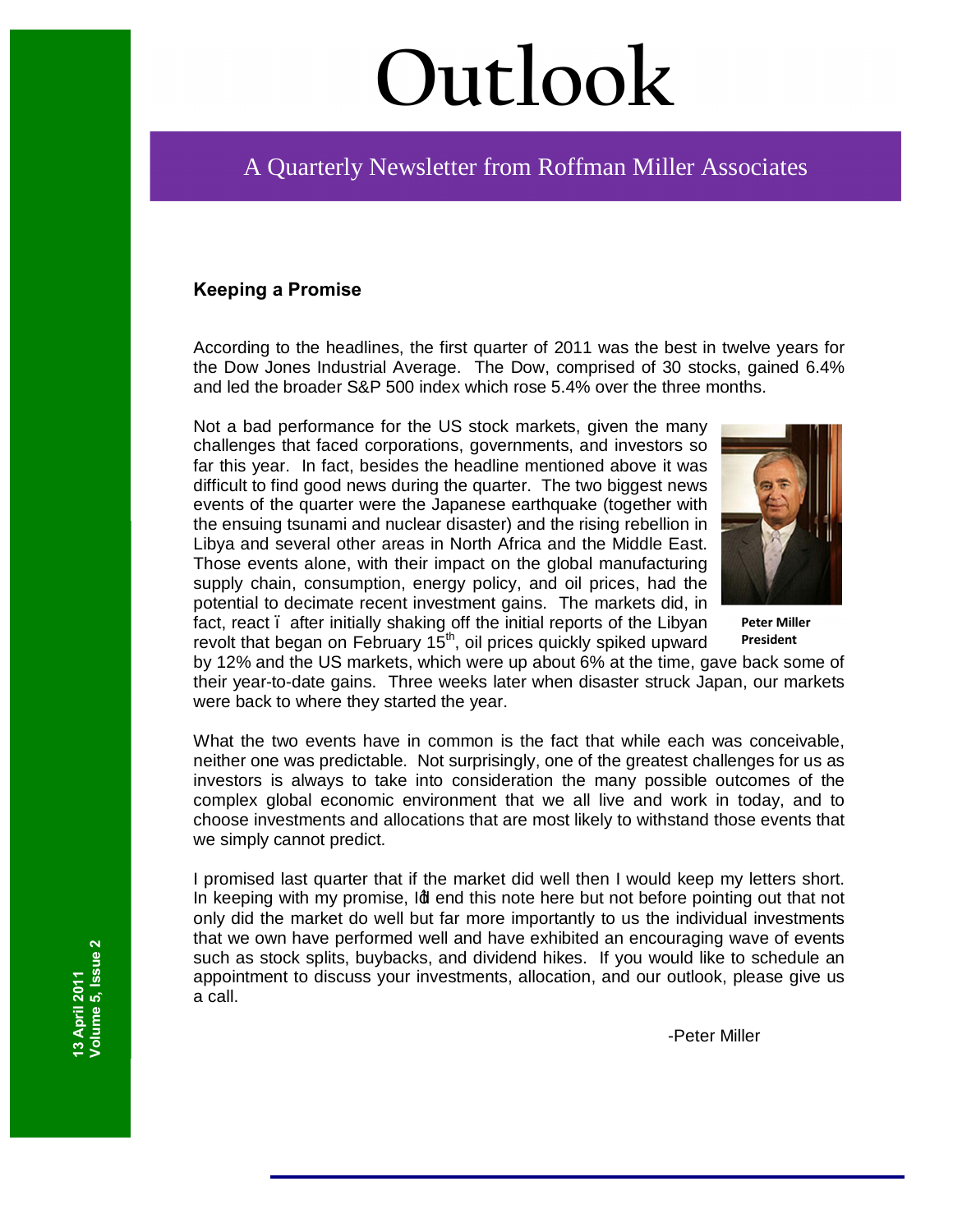# **Outlook**

## A Quarterly Newsletter from Roffman Miller Associates

#### **Keeping a Promise**

According to the headlines, the first quarter of 2011 was the best in twelve years for the Dow Jones Industrial Average. The Dow, comprised of 30 stocks, gained 6.4% and led the broader S&P 500 index which rose 5.4% over the three months.

Not a bad performance for the US stock markets, given the many challenges that faced corporations, governments, and investors so far this year. In fact, besides the headline mentioned above it was difficult to find good news during the quarter. The two biggest news events of the quarter were the Japanese earthquake (together with the ensuing tsunami and nuclear disaster) and the rising rebellion in Libya and several other areas in North Africa and the Middle East. Those events alone, with their impact on the global manufacturing supply chain, consumption, energy policy, and oil prices, had the potential to decimate recent investment gains. The markets did, in fact, react. after initially shaking off the initial reports of the Libyan revolt that began on February  $15<sup>th</sup>$ , oil prices quickly spiked upward



**Peter Miller President**

by 12% and the US markets, which were up about 6% at the time, gave back some of their year-to-date gains. Three weeks later when disaster struck Japan, our markets were back to where they started the year.

What the two events have in common is the fact that while each was conceivable, neither one was predictable. Not surprisingly, one of the greatest challenges for us as investors is always to take into consideration the many possible outcomes of the complex global economic environment that we all live and work in today, and to choose investments and allocations that are most likely to withstand those events that we simply cannot predict.

I promised last quarter that if the market did well then I would keep my letters short. In keeping with my promise, Id end this note here but not before pointing out that not only did the market do well but far more importantly to us the individual investments that we own have performed well and have exhibited an encouraging wave of events such as stock splits, buybacks, and dividend hikes. If you would like to schedule an appointment to discuss your investments, allocation, and our outlook, please give us a call.

-Peter Miller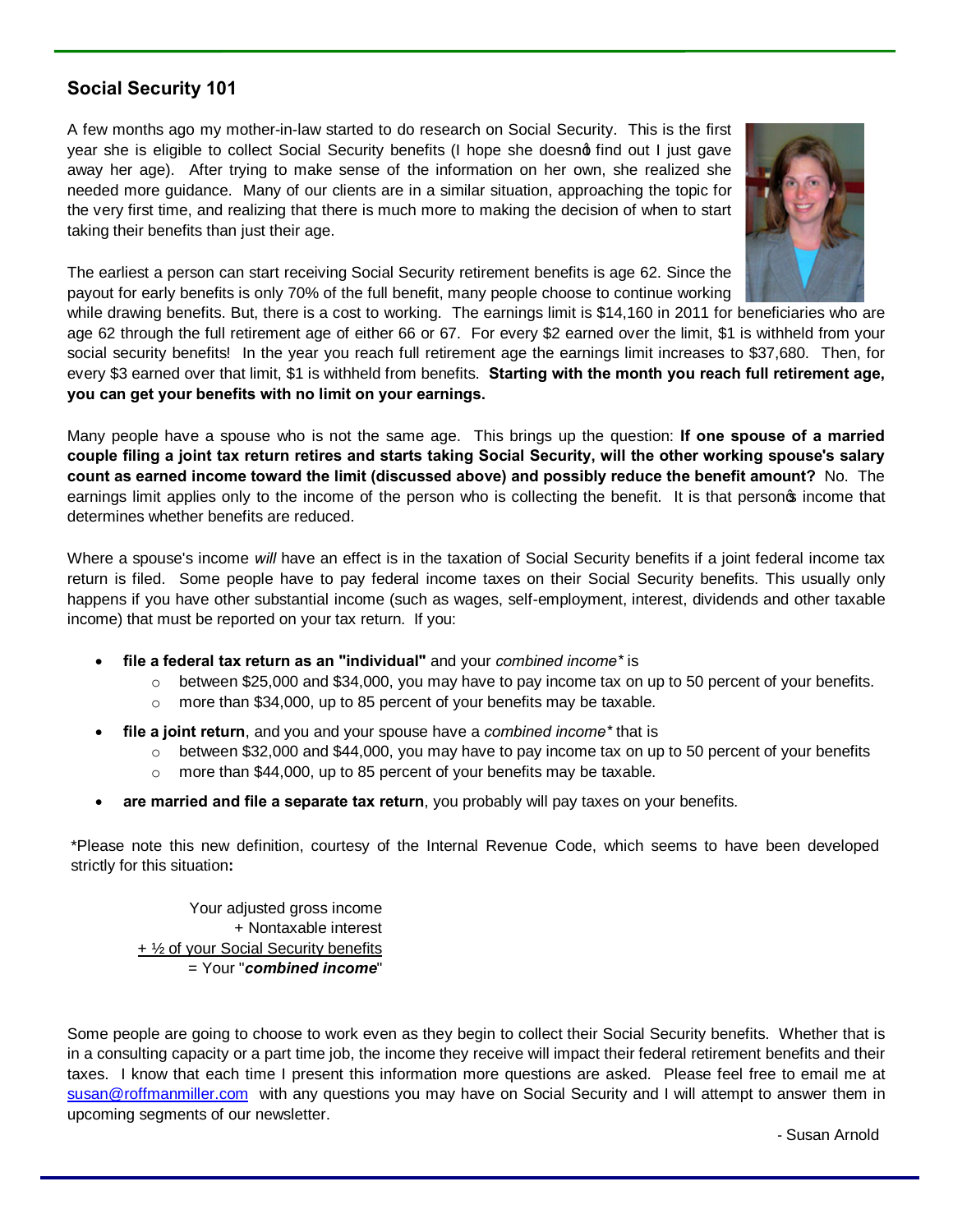#### **Social Security 101**

A few months ago my mother-in-law started to do research on Social Security. This is the first year she is eligible to collect Social Security benefits (I hope she doesnot find out I just gave away her age). After trying to make sense of the information on her own, she realized she needed more guidance. Many of our clients are in a similar situation, approaching the topic for the very first time, and realizing that there is much more to making the decision of when to start taking their benefits than just their age.



The earliest a person can start receiving Social Security retirement benefits is age 62. Since the payout for early benefits is only 70% of the full benefit, many people choose to continue working

while drawing benefits. But, there is a cost to working. The earnings limit is \$14,160 in 2011 for beneficiaries who are age 62 through the full retirement age of either 66 or 67. For every \$2 earned over the limit, \$1 is withheld from your social security benefits! In the year you reach full retirement age the earnings limit increases to \$37,680. Then, for every \$3 earned over that limit, \$1 is withheld from benefits. **Starting with the month you reach full retirement age, you can get your benefits with no limit on your earnings.**

Many people have a spouse who is not the same age. This brings up the question: **If one spouse of a married couple filing a joint tax return retires and starts taking Social Security, will the other working spouse's salary count as earned income toward the limit (discussed above) and possibly reduce the benefit amount?** No. The earnings limit applies only to the income of the person who is collecting the benefit. It is that personos income that determines whether benefits are reduced.

Where a spouse's income *will* have an effect is in the taxation of Social Security benefits if a joint federal income tax return is filed. Some people have to pay federal income taxes on their Social Security benefits. This usually only happens if you have other substantial income (such as wages, self-employment, interest, dividends and other taxable income) that must be reported on your tax return. If you:

- · **file a federal tax return as an "individual"** and your *combined income\** is
	- $\circ$  between \$25,000 and \$34,000, you may have to pay income tax on up to 50 percent of your benefits.
	- o more than \$34,000, up to 85 percent of your benefits may be taxable.
- · **file a joint return**, and you and your spouse have a *combined income\** that is
	- $\circ$  between \$32,000 and \$44,000, you may have to pay income tax on up to 50 percent of your benefits
	- o more than \$44,000, up to 85 percent of your benefits may be taxable.
- · **are married and file a separate tax return**, you probably will pay taxes on your benefits.

\*Please note this new definition, courtesy of the Internal Revenue Code, which seems to have been developed strictly for this situation**:**

Your adjusted gross income + Nontaxable interest + ½ of your Social Security benefits = Your "*combined income*"

Some people are going to choose to work even as they begin to collect their Social Security benefits. Whether that is in a consulting capacity or a part time job, the income they receive will impact their federal retirement benefits and their taxes. I know that each time I present this information more questions are asked. Please feel free to email me at susan@roffmanmiller.com with any questions you may have on Social Security and I will attempt to answer them in [upcoming segments of our](mailto:susan@roffmanmiller.com) newsletter.

- Susan Arnold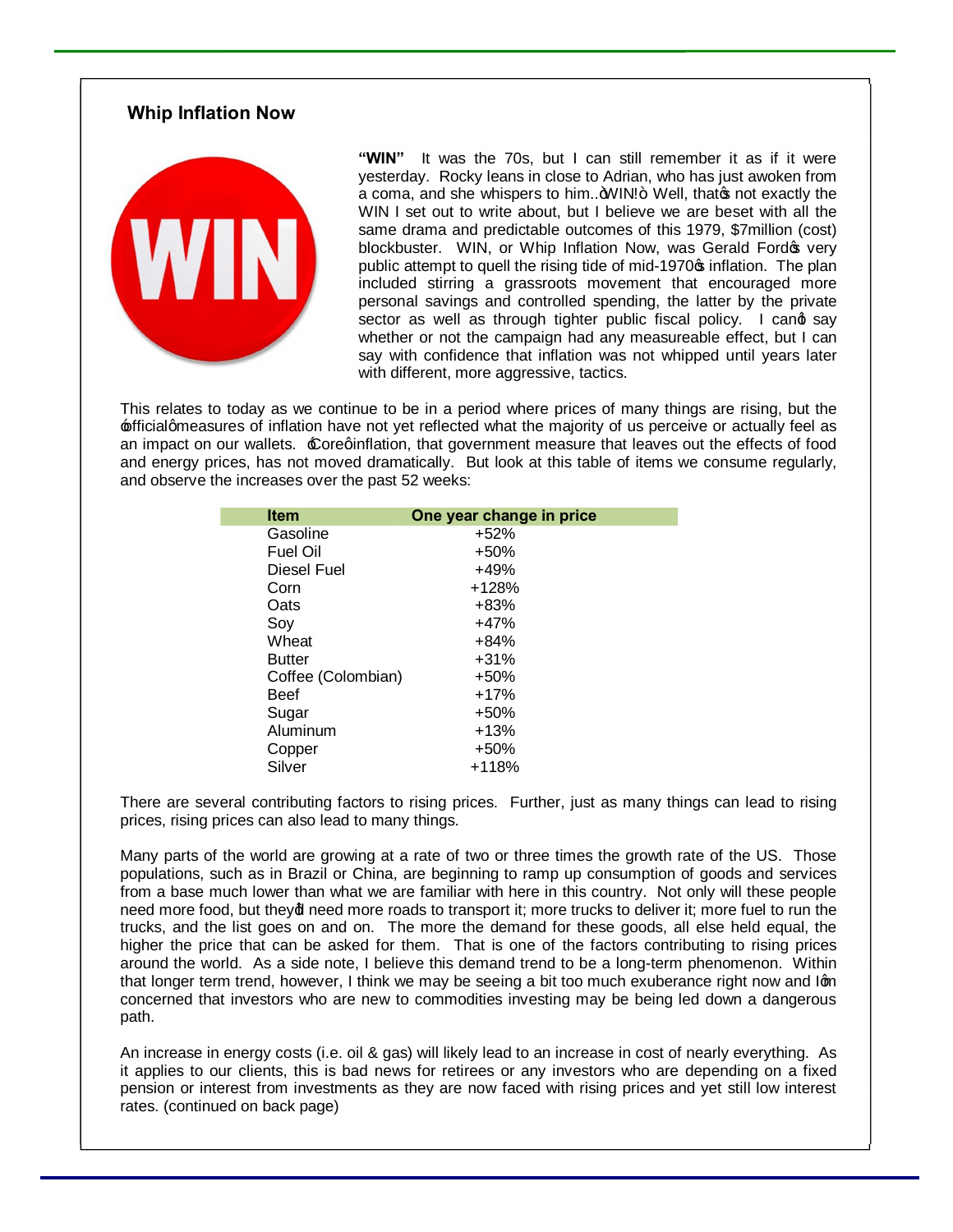#### **Whip Inflation Now**



**"WIN"** It was the 70s, but I can still remember it as if it were yesterday. Rocky leans in close to Adrian, who has just awoken from a coma, and she whispers to him.. 4VIN!+ Well, that on the exactly the WIN I set out to write about, but I believe we are beset with all the same drama and predictable outcomes of this 1979, \$7million (cost) blockbuster. WIN, or Whip Inflation Now, was Gerald Fordos very public attempt to quell the rising tide of mid-1970 $\sigma$  inflation. The plan included stirring a grassroots movement that encouraged more personal savings and controlled spending, the latter by the private sector as well as through tighter public fiscal policy. I cand say whether or not the campaign had any measureable effect, but I can say with confidence that inflation was not whipped until years later with different, more aggressive, tactics.

This relates to today as we continue to be in a period where prices of many things are rising, but the  $f$ fficialgmeasures of inflation have not yet reflected what the majority of us perceive or actually feel as an impact on our wallets. £oreqinflation, that government measure that leaves out the effects of food and energy prices, has not moved dramatically. But look at this table of items we consume regularly, and observe the increases over the past 52 weeks:

| <b>Item</b>        | One year change in price |
|--------------------|--------------------------|
| Gasoline           | $+52%$                   |
| Fuel Oil           | $+50%$                   |
| Diesel Fuel        | $+49%$                   |
| Corn               | $+128%$                  |
| Oats               | +83%                     |
| Soy                | $+47%$                   |
| Wheat              | $+84%$                   |
| <b>Butter</b>      | $+31%$                   |
| Coffee (Colombian) | $+50%$                   |
| Beef               | $+17%$                   |
| Sugar              | +50%                     |
| Aluminum           | $+13%$                   |
| Copper             | $+50%$                   |
| Silver             | +118%                    |

There are several contributing factors to rising prices. Further, just as many things can lead to rising prices, rising prices can also lead to many things.

Many parts of the world are growing at a rate of two or three times the growth rate of the US. Those populations, such as in Brazil or China, are beginning to ramp up consumption of goods and services from a base much lower than what we are familiar with here in this country. Not only will these people need more food, but theyd need more roads to transport it; more trucks to deliver it; more fuel to run the trucks, and the list goes on and on. The more the demand for these goods, all else held equal, the higher the price that can be asked for them. That is one of the factors contributing to rising prices around the world. As a side note, I believe this demand trend to be a long-term phenomenon. Within that longer term trend, however, I think we may be seeing a bit too much exuberance right now and Iom concerned that investors who are new to commodities investing may be being led down a dangerous path.

An increase in energy costs (i.e. oil & gas) will likely lead to an increase in cost of nearly everything. As it applies to our clients, this is bad news for retirees or any investors who are depending on a fixed pension or interest from investments as they are now faced with rising prices and yet still low interest rates. (continued on back page)